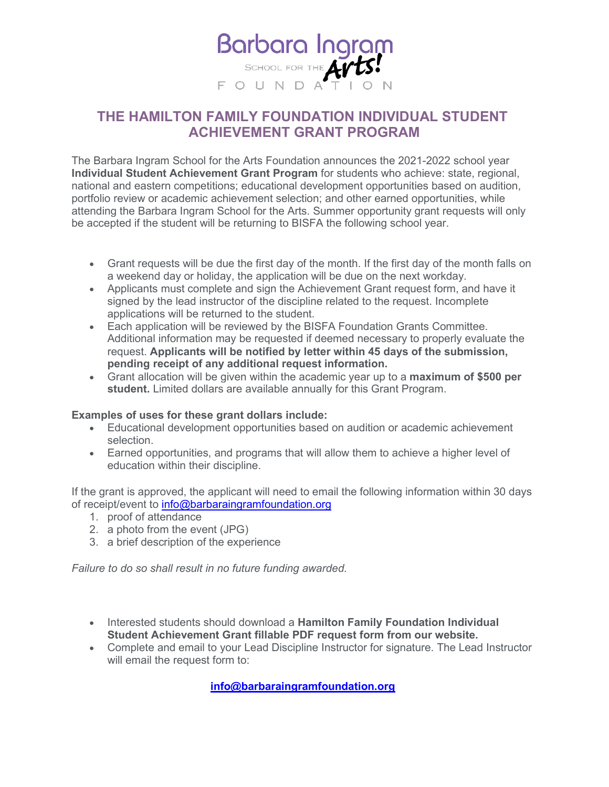

## **THE HAMILTON FAMILY FOUNDATION INDIVIDUAL STUDENT ACHIEVEMENT GRANT PROGRAM**

The Barbara Ingram School for the Arts Foundation announces the 2021-2022 school year **Individual Student Achievement Grant Program** for students who achieve: state, regional, national and eastern competitions; educational development opportunities based on audition, portfolio review or academic achievement selection; and other earned opportunities, while attending the Barbara Ingram School for the Arts. Summer opportunity grant requests will only be accepted if the student will be returning to BISFA the following school year.

- Grant requests will be due the first day of the month. If the first day of the month falls on a weekend day or holiday, the application will be due on the next workday.
- Applicants must complete and sign the Achievement Grant request form, and have it signed by the lead instructor of the discipline related to the request. Incomplete applications will be returned to the student.
- Each application will be reviewed by the BISFA Foundation Grants Committee. Additional information may be requested if deemed necessary to properly evaluate the request. **Applicants will be notified by letter within 45 days of the submission, pending receipt of any additional request information.**
- Grant allocation will be given within the academic year up to a **maximum of \$500 per student.** Limited dollars are available annually for this Grant Program.

## **Examples of uses for these grant dollars include:**

- Educational development opportunities based on audition or academic achievement selection.
- Earned opportunities, and programs that will allow them to achieve a higher level of education within their discipline.

If the grant is approved, the applicant will need to email the following information within 30 days of receipt/event to [info@barbaraingramfoundation.org](mailto:info@barbaraingramfoundation.org)

- 1. proof of attendance
- 2. a photo from the event (JPG)
- 3. a brief description of the experience

*Failure to do so shall result in no future funding awarded.*

- Interested students should download a **Hamilton Family Foundation Individual Student Achievement Grant fillable PDF request form from our website.**
- Complete and email to your Lead Discipline Instructor for signature. The Lead Instructor will email the request form to:

**[info@barbaraingramfoundation.org](mailto:info@barbaraingramfoundation.org)**